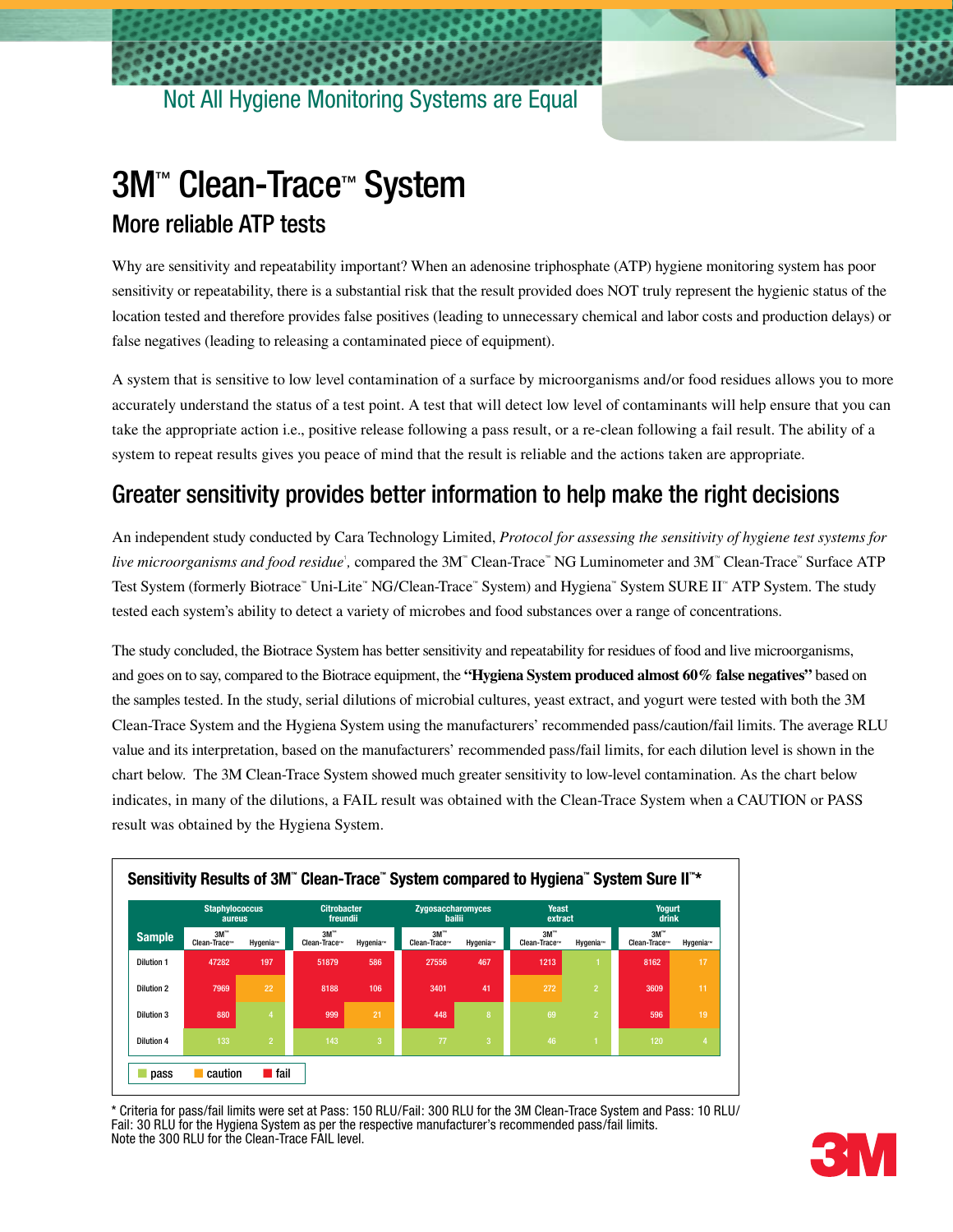

## 3M™ Clean-Trace™ System More reliable ATP tests

Why are sensitivity and repeatability important? When an adenosine triphosphate (ATP) hygiene monitoring system has poor sensitivity or repeatability, there is a substantial risk that the result provided does NOT truly represent the hygienic status of the location tested and therefore provides false positives (leading to unnecessary chemical and labor costs and production delays) or false negatives (leading to releasing a contaminated piece of equipment).

A system that is sensitive to low level contamination of a surface by microorganisms and/or food residues allows you to more accurately understand the status of a test point. A test that will detect low level of contaminants will help ensure that you can take the appropriate action i.e., positive release following a pass result, or a re-clean following a fail result. The ability of a system to repeat results gives you peace of mind that the result is reliable and the actions taken are appropriate.

## Greater sensitivity provides better information to help make the right decisions

An independent study conducted by Cara Technology Limited, *Protocol for assessing the sensitivity of hygiene test systems for live microorganisms and food residue*', compared the 3M<sup>™</sup> Clean-Trace™ NG Luminometer and 3M™ Clean-Trace™ Surface ATP Test System (formerly Biotrace™ Uni-Lite™ NG/Clean-Trace™ System) and Hygiena™ System SURE II™ ATP System. The study tested each system's ability to detect a variety of microbes and food substances over a range of concentrations.

The study concluded, the Biotrace System has better sensitivity and repeatability for residues of food and live microorganisms, and goes on to say, compared to the Biotrace equipment, the **"Hygiena System produced almost 60% false negatives"** based on the samples tested. In the study, serial dilutions of microbial cultures, yeast extract, and yogurt were tested with both the 3M Clean-Trace System and the Hygiena System using the manufacturers' recommended pass/caution/fail limits. The average RLU value and its interpretation, based on the manufacturers' recommended pass/fail limits, for each dilution level is shown in the chart below. The 3M Clean-Trace System showed much greater sensitivity to low-level contamination. As the chart below indicates, in many of the dilutions, a FAIL result was obtained with the Clean-Trace System when a CAUTION or PASS result was obtained by the Hygiena System.



\* Criteria for pass/fail limits were set at Pass: 150 RLU/Fail: 300 RLU for the 3M Clean-Trace System and Pass: 10 RLU/ Fail: 30 RLU for the Hygiena System as per the respective manufacturer's recommended pass/fail limits. Note the 300 RLU for the Clean-Trace FAIL level.